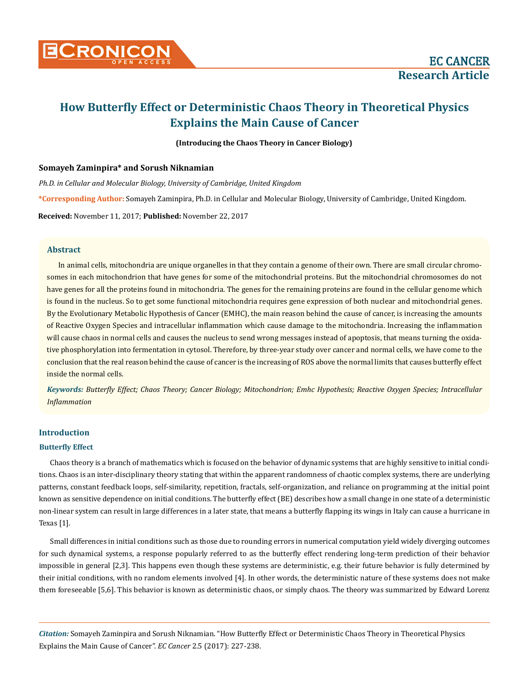

# **How Butterfly Effect or Deterministic Chaos Theory in Theoretical Physics Explains the Main Cause of Cancer**

**(Introducing the Chaos Theory in Cancer Biology)**

# **Somayeh Zaminpira\* and Sorush Niknamian**

*Ph.D. in Cellular and Molecular Biology, University of Cambridge, United Kingdom* 

**\*Corresponding Author:** Somayeh Zaminpira, Ph.D. in Cellular and Molecular Biology, University of Cambridge, United Kingdom.

**Received:** November 11, 2017; **Published:** November 22, 2017

# **Abstract**

In animal cells, mitochondria are unique organelles in that they contain a genome of their own. There are small circular chromosomes in each mitochondrion that have genes for some of the mitochondrial proteins. But the mitochondrial chromosomes do not have genes for all the proteins found in mitochondria. The genes for the remaining proteins are found in the cellular genome which is found in the nucleus. So to get some functional mitochondria requires gene expression of both nuclear and mitochondrial genes. By the Evolutionary Metabolic Hypothesis of Cancer (EMHC), the main reason behind the cause of cancer, is increasing the amounts of Reactive Oxygen Species and intracellular inflammation which cause damage to the mitochondria. Increasing the inflammation will cause chaos in normal cells and causes the nucleus to send wrong messages instead of apoptosis, that means turning the oxidative phosphorylation into fermentation in cytosol. Therefore, by three-year study over cancer and normal cells, we have come to the conclusion that the real reason behind the cause of cancer is the increasing of ROS above the normal limits that causes butterfly effect inside the normal cells.

*Keywords: Butterfly Effect; Chaos Theory; Cancer Biology; Mitochondrion; Emhc Hypothesis; Reactive Oxygen Species; Intracellular Inflammation*

# **Introduction**

# **Butterfly Effect**

Chaos theory is a branch of mathematics which is focused on the behavior of dynamic systems that are highly sensitive to initial conditions. Chaos is an inter-disciplinary theory stating that within the apparent randomness of chaotic complex systems, there are underlying patterns, constant feedback loops, self-similarity, repetition, fractals, self-organization, and reliance on programming at the initial point known as sensitive dependence on initial conditions. The butterfly effect (BE) describes how a small change in one state of a deterministic non-linear system can result in large differences in a later state, that means a butterfly flapping its wings in Italy can cause a hurricane in Texas [1].

Small differences in initial conditions such as those due to rounding errors in numerical computation yield widely diverging outcomes for such dynamical systems, a response popularly referred to as the butterfly effect rendering long-term prediction of their behavior impossible in general [2,3]. This happens even though these systems are deterministic, e.g. their future behavior is fully determined by their initial conditions, with no random elements involved [4]. In other words, the deterministic nature of these systems does not make them foreseeable [5,6]. This behavior is known as deterministic chaos, or simply chaos. The theory was summarized by Edward Lorenz

*Citation:* Somayeh Zaminpira and Sorush Niknamian. "How Butterfly Effect or Deterministic Chaos Theory in Theoretical Physics Explains the Main Cause of Cancer". *EC Cancer* 2.5 (2017): 227-238.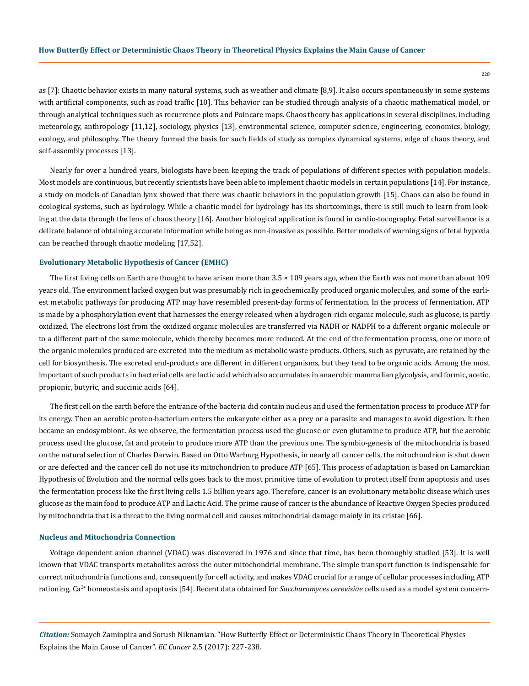as [7]: Chaotic behavior exists in many natural systems, such as weather and climate [8,9]. It also occurs spontaneously in some systems with artificial components, such as road traffic [10]. This behavior can be studied through analysis of a chaotic mathematical model, or through analytical techniques such as recurrence plots and Poincare maps. Chaos theory has applications in several disciplines, including meteorology, anthropology [11,12], sociology, physics [13], environmental science, computer science, engineering, economics, biology, ecology, and philosophy. The theory formed the basis for such fields of study as complex dynamical systems, edge of chaos theory, and self-assembly processes [13].

Nearly for over a hundred years, biologists have been keeping the track of populations of different species with population models. Most models are continuous, but recently scientists have been able to implement chaotic models in certain populations [14]. For instance, a study on models of Canadian lynx showed that there was chaotic behaviors in the population growth [15]. Chaos can also be found in ecological systems, such as hydrology. While a chaotic model for hydrology has its shortcomings, there is still much to learn from looking at the data through the lens of chaos theory [16]. Another biological application is found in cardio-tocography. Fetal surveillance is a delicate balance of obtaining accurate information while being as non-invasive as possible. Better models of warning signs of fetal hypoxia can be reached through chaotic modeling [17,52].

#### **Evolutionary Metabolic Hypothesis of Cancer (EMHC)**

The first living cells on Earth are thought to have arisen more than  $3.5 \times 109$  years ago, when the Earth was not more than about 109 years old. The environment lacked oxygen but was presumably rich in geochemically produced organic molecules, and some of the earliest metabolic pathways for producing ATP may have resembled present-day forms of fermentation. In the process of fermentation, ATP is made by a phosphorylation event that harnesses the energy released when a hydrogen-rich organic molecule, such as glucose, is partly oxidized. The electrons lost from the oxidized organic molecules are transferred via NADH or NADPH to a different organic molecule or to a different part of the same molecule, which thereby becomes more reduced. At the end of the fermentation process, one or more of the organic molecules produced are excreted into the medium as metabolic waste products. Others, such as pyruvate, are retained by the cell for biosynthesis. The excreted end-products are different in different organisms, but they tend to be organic acids. Among the most important of such products in bacterial cells are lactic acid which also accumulates in anaerobic mammalian glycolysis, and formic, acetic, propionic, butyric, and succinic acids [64].

The first cell on the earth before the entrance of the bacteria did contain nucleus and used the fermentation process to produce ATP for its energy. Then an aerobic proteo-bacterium enters the eukaryote either as a prey or a parasite and manages to avoid digestion. It then became an endosymbiont. As we observe, the fermentation process used the glucose or even glutamine to produce ATP, but the aerobic process used the glucose, fat and protein to produce more ATP than the previous one. The symbio-genesis of the mitochondria is based on the natural selection of Charles Darwin. Based on Otto Warburg Hypothesis, in nearly all cancer cells, the mitochondrion is shut down or are defected and the cancer cell do not use its mitochondrion to produce ATP [65]. This process of adaptation is based on Lamarckian Hypothesis of Evolution and the normal cells goes back to the most primitive time of evolution to protect itself from apoptosis and uses the fermentation process like the first living cells 1.5 billion years ago. Therefore, cancer is an evolutionary metabolic disease which uses glucose as the main food to produce ATP and Lactic Acid. The prime cause of cancer is the abundance of Reactive Oxygen Species produced by mitochondria that is a threat to the living normal cell and causes mitochondrial damage mainly in its cristae [66].

## **Nucleus and Mitochondria Connection**

Voltage dependent anion channel (VDAC) was discovered in 1976 and since that time, has been thoroughly studied [53]. It is well known that VDAC transports metabolites across the outer mitochondrial membrane. The simple transport function is indispensable for correct mitochondria functions and, consequently for cell activity, and makes VDAC crucial for a range of cellular processes including ATP rationing, Ca<sup>2+</sup> homeostasis and apoptosis [54]. Recent data obtained for *Saccharomyces cerevisiae* cells used as a model system concern-

*Citation:* Somayeh Zaminpira and Sorush Niknamian. "How Butterfly Effect or Deterministic Chaos Theory in Theoretical Physics Explains the Main Cause of Cancer". *EC Cancer* 2.5 (2017): 227-238.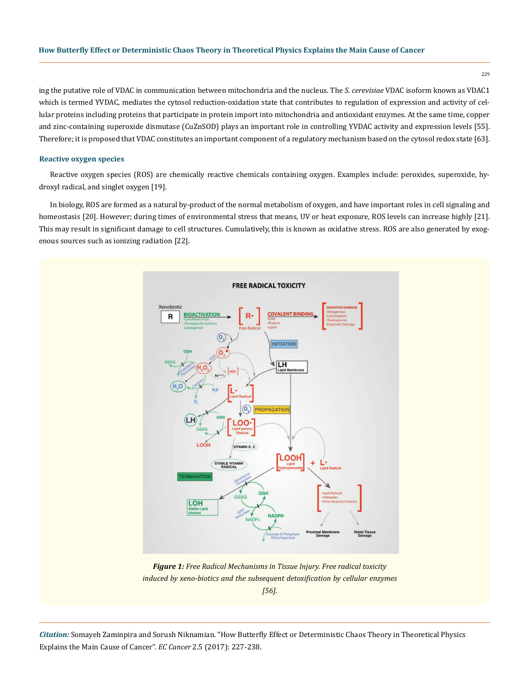ing the putative role of VDAC in communication between mitochondria and the nucleus. The *S. cerevisiae* VDAC isoform known as VDAC1 which is termed YVDAC, mediates the cytosol reduction-oxidation state that contributes to regulation of expression and activity of cellular proteins including proteins that participate in protein import into mitochondria and antioxidant enzymes. At the same time, copper and zinc-containing superoxide dismutase (CuZnSOD) plays an important role in controlling YVDAC activity and expression levels [55]. Therefore; it is proposed that VDAC constitutes an important component of a regulatory mechanism based on the cytosol redox state [63].

#### **Reactive oxygen species**

Reactive oxygen species (ROS) are chemically reactive chemicals containing oxygen. Examples include: peroxides, superoxide, hydroxyl radical, and singlet oxygen [19].

In biology, ROS are formed as a natural by-product of the normal metabolism of oxygen, and have important roles in cell signaling and homeostasis [20]. However; during times of environmental stress that means, UV or heat exposure, ROS levels can increase highly [21]. This may result in significant damage to cell structures. Cumulatively, this is known as oxidative stress. ROS are also generated by exogenous sources such as ionizing radiation [22].



*Figure 1: Free Radical Mechanisms in Tissue Injury. Free radical toxicity induced by xeno-biotics and the subsequent detoxification by cellular enzymes [56].*

*Citation:* Somayeh Zaminpira and Sorush Niknamian. "How Butterfly Effect or Deterministic Chaos Theory in Theoretical Physics Explains the Main Cause of Cancer". *EC Cancer* 2.5 (2017): 227-238.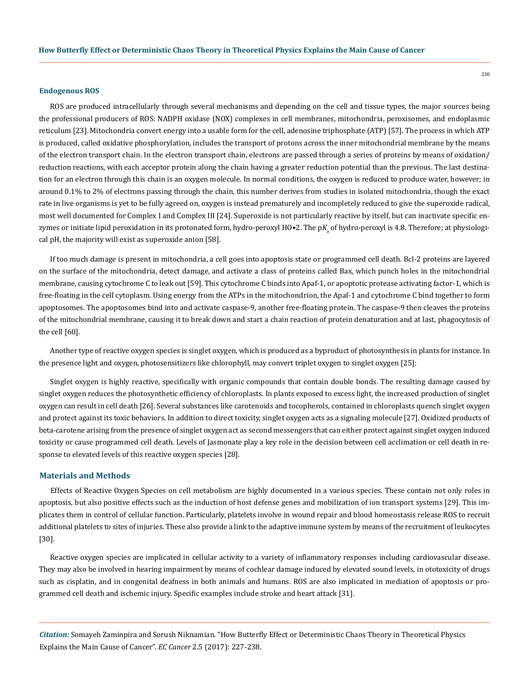#### **Endogenous ROS**

ROS are produced intracellularly through several mechanisms and depending on the cell and tissue types, the major sources being the professional producers of ROS: NADPH oxidase (NOX) complexes in cell membranes, mitochondria, peroxisomes, and endoplasmic reticulum [23]. Mitochondria convert energy into a usable form for the cell, adenosine triphosphate (ATP) [57]. The process in which ATP is produced, called oxidative phosphorylation, includes the transport of protons across the inner mitochondrial membrane by the means of the electron transport chain. In the electron transport chain, electrons are passed through a series of proteins by means of oxidation/ reduction reactions, with each acceptor protein along the chain having a greater reduction potential than the previous. The last destination for an electron through this chain is an oxygen molecule. In normal conditions, the oxygen is reduced to produce water, however; in around 0.1% to 2% of electrons passing through the chain, this number derives from studies in isolated mitochondria, though the exact rate in live organisms is yet to be fully agreed on, oxygen is instead prematurely and incompletely reduced to give the superoxide radical, most well documented for Complex I and Complex III [24]. Superoxide is not particularly reactive by itself, but can inactivate specific enzymes or initiate lipid peroxidation in its protonated form, hydro-peroxyl HO•2. The p $K_{\!{}_a}$  of hydro-peroxyl is 4.8. Therefore; at physiological pH, the majority will exist as superoxide anion [58].

If too much damage is present in mitochondria, a cell goes into apoptosis state or programmed cell death. Bcl-2 proteins are layered on the surface of the mitochondria, detect damage, and activate a class of proteins called Bax, which punch holes in the mitochondrial membrane, causing cytochrome C to leak out [59]. This cytochrome C binds into Apaf-1, or apoptotic protease activating factor-1, which is free-floating in the cell cytoplasm. Using energy from the ATPs in the mitochondrion, the Apaf-1 and cytochrome C bind together to form apoptosomes. The apoptosomes bind into and activate caspase-9, another free-floating protein. The caspase-9 then cleaves the proteins of the mitochondrial membrane, causing it to break down and start a chain reaction of protein denaturation and at last, phagocytosis of the cell [60].

Another type of reactive oxygen species is singlet oxygen, which is produced as a byproduct of photosynthesis in plants for instance. In the presence light and oxygen, photosensitizers like chlorophyll, may convert triplet oxygen to singlet oxygen [25]:

Singlet oxygen is highly reactive, specifically with organic compounds that contain double bonds. The resulting damage caused by singlet oxygen reduces the photosynthetic efficiency of chloroplasts. In plants exposed to excess light, the increased production of singlet oxygen can result in cell death [26]. Several substances like carotenoids and tocopherols, contained in chloroplasts quench singlet oxygen and protect against its toxic behaviors. In addition to direct toxicity, singlet oxygen acts as a signaling molecule [27]. Oxidized products of beta-carotene arising from the presence of singlet oxygen act as second messengers that can either protect against singlet oxygen induced toxicity or cause programmed cell death. Levels of Jasmonate play a key role in the decision between cell acclimation or cell death in response to elevated levels of this reactive oxygen species [28].

## **Materials and Methods**

Effects of Reactive Oxygen Species on cell metabolism are highly documented in a various species. These contain not only roles in apoptosis, but also positive effects such as the induction of host defense genes and mobilization of ion transport systems [29]. This implicates them in control of cellular function. Particularly, platelets involve in wound repair and blood homeostasis release ROS to recruit additional platelets to sites of injuries. These also provide a link to the adaptive immune system by means of the recruitment of leukocytes [30].

Reactive oxygen species are implicated in cellular activity to a variety of inflammatory responses including cardiovascular disease. They may also be involved in hearing impairment by means of cochlear damage induced by elevated sound levels, in ototoxicity of drugs such as cisplatin, and in congenital deafness in both animals and humans. ROS are also implicated in mediation of apoptosis or programmed cell death and ischemic injury. Specific examples include stroke and heart attack [31].

*Citation:* Somayeh Zaminpira and Sorush Niknamian. "How Butterfly Effect or Deterministic Chaos Theory in Theoretical Physics Explains the Main Cause of Cancer". *EC Cancer* 2.5 (2017): 227-238.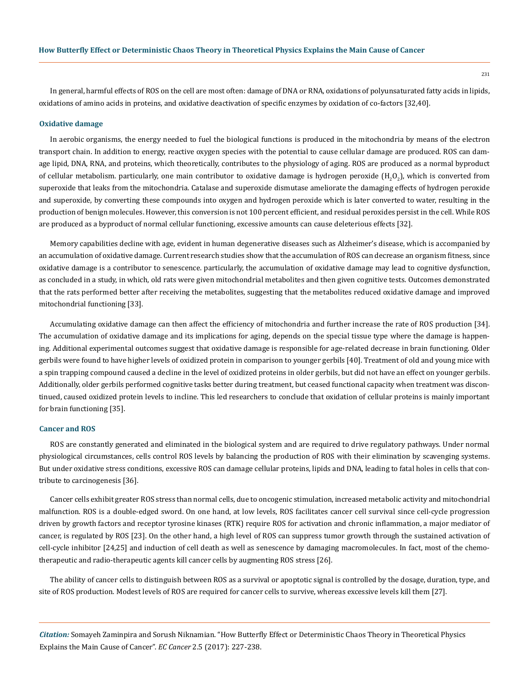In general, harmful effects of ROS on the cell are most often: damage of DNA or RNA, oxidations of polyunsaturated fatty acids in lipids, oxidations of amino acids in proteins, and oxidative deactivation of specific enzymes by oxidation of co-factors [32,40].

#### **Oxidative damage**

In aerobic organisms, the energy needed to fuel the biological functions is produced in the mitochondria by means of the electron transport chain. In addition to energy, reactive oxygen species with the potential to cause cellular damage are produced. ROS can damage lipid, DNA, RNA, and proteins, which theoretically, contributes to the physiology of aging. ROS are produced as a normal byproduct of cellular metabolism. particularly, one main contributor to oxidative damage is hydrogen peroxide (H<sub>2</sub>O<sub>2</sub>), which is converted from superoxide that leaks from the mitochondria. Catalase and superoxide dismutase ameliorate the damaging effects of hydrogen peroxide and superoxide, by converting these compounds into oxygen and hydrogen peroxide which is later converted to water, resulting in the production of benign molecules. However, this conversion is not 100 percent efficient, and residual peroxides persist in the cell. While ROS are produced as a byproduct of normal cellular functioning, excessive amounts can cause deleterious effects [32].

Memory capabilities decline with age, evident in human degenerative diseases such as Alzheimer's disease, which is accompanied by an accumulation of oxidative damage. Current research studies show that the accumulation of ROS can decrease an organism fitness, since oxidative damage is a contributor to senescence. particularly, the accumulation of oxidative damage may lead to cognitive dysfunction, as concluded in a study, in which, old rats were given mitochondrial metabolites and then given cognitive tests. Outcomes demonstrated that the rats performed better after receiving the metabolites, suggesting that the metabolites reduced oxidative damage and improved mitochondrial functioning [33].

Accumulating oxidative damage can then affect the efficiency of mitochondria and further increase the rate of ROS production [34]. The accumulation of oxidative damage and its implications for aging, depends on the special tissue type where the damage is happening. Additional experimental outcomes suggest that oxidative damage is responsible for age-related decrease in brain functioning. Older gerbils were found to have higher levels of oxidized protein in comparison to younger gerbils [40]. Treatment of old and young mice with a spin trapping compound caused a decline in the level of oxidized proteins in older gerbils, but did not have an effect on younger gerbils. Additionally, older gerbils performed cognitive tasks better during treatment, but ceased functional capacity when treatment was discontinued, caused oxidized protein levels to incline. This led researchers to conclude that oxidation of cellular proteins is mainly important for brain functioning [35].

## **Cancer and ROS**

ROS are constantly generated and eliminated in the biological system and are required to drive regulatory pathways. Under normal physiological circumstances, cells control ROS levels by balancing the production of ROS with their elimination by scavenging systems. But under oxidative stress conditions, excessive ROS can damage cellular proteins, lipids and DNA, leading to fatal holes in cells that contribute to carcinogenesis [36].

Cancer cells exhibit greater ROS stress than normal cells, due to oncogenic stimulation, increased metabolic activity and mitochondrial malfunction. ROS is a double-edged sword. On one hand, at low levels, ROS facilitates cancer cell survival since cell-cycle progression driven by growth factors and receptor tyrosine kinases (RTK) require ROS for activation and chronic inflammation, a major mediator of cancer, is regulated by ROS [23]. On the other hand, a high level of ROS can suppress tumor growth through the sustained activation of cell-cycle inhibitor [24,25] and induction of cell death as well as senescence by damaging macromolecules. In fact, most of the chemotherapeutic and radio-therapeutic agents kill cancer cells by augmenting ROS stress [26].

The ability of cancer cells to distinguish between ROS as a survival or apoptotic signal is controlled by the dosage, duration, type, and site of ROS production. Modest levels of ROS are required for cancer cells to survive, whereas excessive levels kill them [27].

*Citation:* Somayeh Zaminpira and Sorush Niknamian. "How Butterfly Effect or Deterministic Chaos Theory in Theoretical Physics Explains the Main Cause of Cancer". *EC Cancer* 2.5 (2017): 227-238.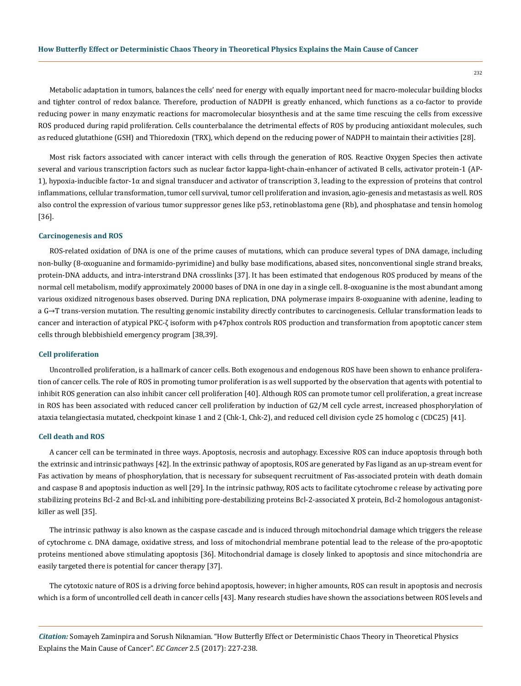Metabolic adaptation in tumors, balances the cells' need for energy with equally important need for macro-molecular building blocks and tighter control of redox balance. Therefore, production of NADPH is greatly enhanced, which functions as a co-factor to provide reducing power in many enzymatic reactions for macromolecular biosynthesis and at the same time rescuing the cells from excessive ROS produced during rapid proliferation. Cells counterbalance the detrimental effects of ROS by producing antioxidant molecules, such as reduced glutathione (GSH) and Thioredoxin (TRX), which depend on the reducing power of NADPH to maintain their activities [28].

Most risk factors associated with cancer interact with cells through the generation of ROS. Reactive Oxygen Species then activate several and various transcription factors such as nuclear factor kappa-light-chain-enhancer of activated B cells, activator protein-1 (AP-1), hypoxia-inducible factor-1α and signal transducer and activator of transcription 3, leading to the expression of proteins that control inflammations, cellular transformation, tumor cell survival, tumor cell proliferation and invasion, agio-genesis and metastasis as well. ROS also control the expression of various tumor suppressor genes like p53, retinoblastoma gene (Rb), and phosphatase and tensin homolog [36].

#### **Carcinogenesis and ROS**

ROS-related oxidation of DNA is one of the prime causes of mutations, which can produce several types of DNA damage, including non-bulky (8-oxoguanine and formamido-pyrimidine) and bulky base modifications, abased sites, nonconventional single strand breaks, protein-DNA adducts, and intra-interstrand DNA crosslinks [37]. It has been estimated that endogenous ROS produced by means of the normal cell metabolism, modify approximately 20000 bases of DNA in one day in a single cell. 8-oxoguanine is the most abundant among various oxidized nitrogenous bases observed. During DNA replication, DNA polymerase impairs 8-oxoguanine with adenine, leading to a G→T trans-version mutation. The resulting genomic instability directly contributes to carcinogenesis. Cellular transformation leads to cancer and interaction of atypical PKC-ζ isoform with p47phox controls ROS production and transformation from apoptotic cancer stem cells through blebbishield emergency program [38,39].

## **Cell proliferation**

Uncontrolled proliferation, is a hallmark of cancer cells. Both exogenous and endogenous ROS have been shown to enhance proliferation of cancer cells. The role of ROS in promoting tumor proliferation is as well supported by the observation that agents with potential to inhibit ROS generation can also inhibit cancer cell proliferation [40]. Although ROS can promote tumor cell proliferation, a great increase in ROS has been associated with reduced cancer cell proliferation by induction of G2/M cell cycle arrest, increased phosphorylation of ataxia telangiectasia mutated, checkpoint kinase 1 and 2 (Chk-1, Chk-2), and reduced cell division cycle 25 homolog c (CDC25) [41].

### **Cell death and ROS**

A cancer cell can be terminated in three ways. Apoptosis, necrosis and autophagy. Excessive ROS can induce apoptosis through both the extrinsic and intrinsic pathways [42]. In the extrinsic pathway of apoptosis, ROS are generated by Fas ligand as an up-stream event for Fas activation by means of phosphorylation, that is necessary for subsequent recruitment of Fas-associated protein with death domain and caspase 8 and apoptosis induction as well [29]. In the intrinsic pathway, ROS acts to facilitate cytochrome c release by activating pore stabilizing proteins Bcl-2 and Bcl-xL and inhibiting pore-destabilizing proteins Bcl-2-associated X protein, Bcl-2 homologous antagonistkiller as well [35].

The intrinsic pathway is also known as the caspase cascade and is induced through mitochondrial damage which triggers the release of cytochrome c. DNA damage, oxidative stress, and loss of mitochondrial membrane potential lead to the release of the pro-apoptotic proteins mentioned above stimulating apoptosis [36]. Mitochondrial damage is closely linked to apoptosis and since mitochondria are easily targeted there is potential for cancer therapy [37].

The cytotoxic nature of ROS is a driving force behind apoptosis, however; in higher amounts, ROS can result in apoptosis and necrosis which is a form of uncontrolled cell death in cancer cells [43]. Many research studies have shown the associations between ROS levels and

*Citation:* Somayeh Zaminpira and Sorush Niknamian. "How Butterfly Effect or Deterministic Chaos Theory in Theoretical Physics Explains the Main Cause of Cancer". *EC Cancer* 2.5 (2017): 227-238.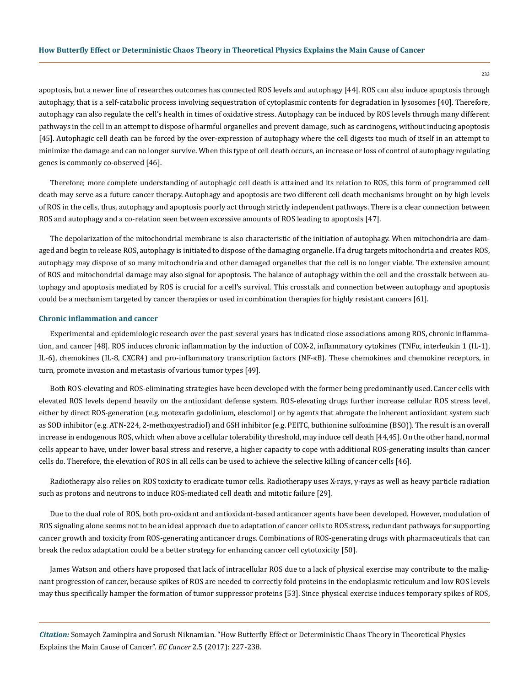apoptosis, but a newer line of researches outcomes has connected ROS levels and autophagy [44]. ROS can also induce apoptosis through autophagy, that is a self-catabolic process involving sequestration of cytoplasmic contents for degradation in lysosomes [40]. Therefore, autophagy can also regulate the cell's health in times of oxidative stress. Autophagy can be induced by ROS levels through many different pathways in the cell in an attempt to dispose of harmful organelles and prevent damage, such as carcinogens, without inducing apoptosis [45]. Autophagic cell death can be forced by the over-expression of autophagy where the cell digests too much of itself in an attempt to minimize the damage and can no longer survive. When this type of cell death occurs, an increase or loss of control of autophagy regulating genes is commonly co-observed [46].

Therefore; more complete understanding of autophagic cell death is attained and its relation to ROS, this form of programmed cell death may serve as a future cancer therapy. Autophagy and apoptosis are two different cell death mechanisms brought on by high levels of ROS in the cells, thus, autophagy and apoptosis poorly act through strictly independent pathways. There is a clear connection between ROS and autophagy and a co-relation seen between excessive amounts of ROS leading to apoptosis [47].

The depolarization of the mitochondrial membrane is also characteristic of the initiation of autophagy. When mitochondria are damaged and begin to release ROS, autophagy is initiated to dispose of the damaging organelle. If a drug targets mitochondria and creates ROS, autophagy may dispose of so many mitochondria and other damaged organelles that the cell is no longer viable. The extensive amount of ROS and mitochondrial damage may also signal for apoptosis. The balance of autophagy within the cell and the crosstalk between autophagy and apoptosis mediated by ROS is crucial for a cell's survival. This crosstalk and connection between autophagy and apoptosis could be a mechanism targeted by cancer therapies or used in combination therapies for highly resistant cancers [61].

## **Chronic inflammation and cancer**

Experimental and epidemiologic research over the past several years has indicated close associations among ROS, chronic inflammation, and cancer [48]. ROS induces chronic inflammation by the induction of COX-2, inflammatory cytokines (TNFα, interleukin 1 (IL-1), IL-6), chemokines (IL-8, CXCR4) and pro-inflammatory transcription factors (NF-κB). These chemokines and chemokine receptors, in turn, promote invasion and metastasis of various tumor types [49].

Both ROS-elevating and ROS-eliminating strategies have been developed with the former being predominantly used. Cancer cells with elevated ROS levels depend heavily on the antioxidant defense system. ROS-elevating drugs further increase cellular ROS stress level, either by direct ROS-generation (e.g. motexafin gadolinium, elesclomol) or by agents that abrogate the inherent antioxidant system such as SOD inhibitor (e.g. ATN-224, 2-methoxyestradiol) and GSH inhibitor (e.g. PEITC, buthionine sulfoximine (BSO)). The result is an overall increase in endogenous ROS, which when above a cellular tolerability threshold, may induce cell death [44,45]. On the other hand, normal cells appear to have, under lower basal stress and reserve, a higher capacity to cope with additional ROS-generating insults than cancer cells do. Therefore, the elevation of ROS in all cells can be used to achieve the selective killing of cancer cells [46].

Radiotherapy also relies on ROS toxicity to eradicate tumor cells. Radiotherapy uses X-rays, γ-rays as well as heavy particle radiation such as protons and neutrons to induce ROS-mediated cell death and mitotic failure [29].

Due to the dual role of ROS, both pro-oxidant and antioxidant-based anticancer agents have been developed. However, modulation of ROS signaling alone seems not to be an ideal approach due to adaptation of cancer cells to ROS stress, redundant pathways for supporting cancer growth and toxicity from ROS-generating anticancer drugs. Combinations of ROS-generating drugs with pharmaceuticals that can break the redox adaptation could be a better strategy for enhancing cancer cell cytotoxicity [50].

James Watson and others have proposed that lack of intracellular ROS due to a lack of physical exercise may contribute to the malignant progression of cancer, because spikes of ROS are needed to correctly fold proteins in the endoplasmic reticulum and low ROS levels may thus specifically hamper the formation of tumor suppressor proteins [53]. Since physical exercise induces temporary spikes of ROS,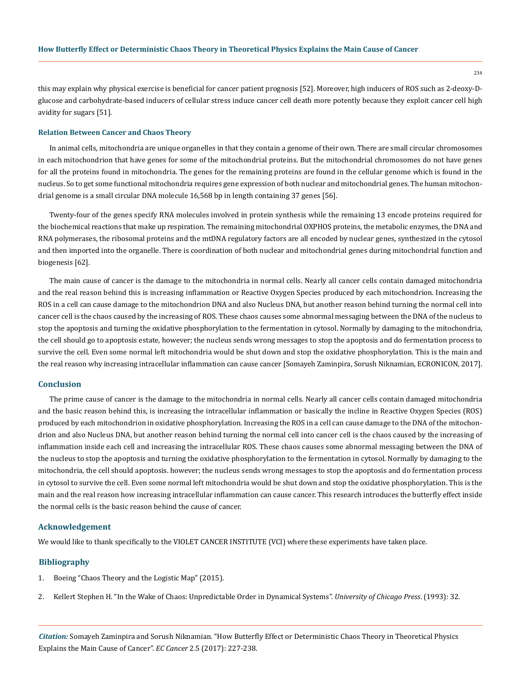this may explain why physical exercise is beneficial for cancer patient prognosis [52]. Moreover, high inducers of ROS such as 2-deoxy-Dglucose and carbohydrate-based inducers of cellular stress induce cancer cell death more potently because they exploit cancer cell high avidity for sugars [51].

#### **Relation Between Cancer and Chaos Theory**

In animal cells, mitochondria are unique organelles in that they contain a genome of their own. There are small circular chromosomes in each mitochondrion that have genes for some of the mitochondrial proteins. But the mitochondrial chromosomes do not have genes for all the proteins found in mitochondria. The genes for the remaining proteins are found in the cellular genome which is found in the nucleus. So to get some functional mitochondria requires gene expression of both nuclear and mitochondrial genes. The human mitochondrial genome is a small circular DNA molecule 16,568 bp in length containing 37 genes [56].

Twenty-four of the genes specify RNA molecules involved in protein synthesis while the remaining 13 encode proteins required for the biochemical reactions that make up respiration. The remaining mitochondrial OXPHOS proteins, the metabolic enzymes, the DNA and RNA polymerases, the ribosomal proteins and the mtDNA regulatory factors are all encoded by nuclear genes, synthesized in the cytosol and then imported into the organelle. There is coordination of both nuclear and mitochondrial genes during mitochondrial function and biogenesis [62].

The main cause of cancer is the damage to the mitochondria in normal cells. Nearly all cancer cells contain damaged mitochondria and the real reason behind this is increasing inflammation or Reactive Oxygen Species produced by each mitochondrion. Increasing the ROS in a cell can cause damage to the mitochondrion DNA and also Nucleus DNA, but another reason behind turning the normal cell into cancer cell is the chaos caused by the increasing of ROS. These chaos causes some abnormal messaging between the DNA of the nucleus to stop the apoptosis and turning the oxidative phosphorylation to the fermentation in cytosol. Normally by damaging to the mitochondria, the cell should go to apoptosis estate, however; the nucleus sends wrong messages to stop the apoptosis and do fermentation process to survive the cell. Even some normal left mitochondria would be shut down and stop the oxidative phosphorylation. This is the main and the real reason why increasing intracellular inflammation can cause cancer [Somayeh Zaminpira, Sorush Niknamian, ECRONICON, 2017].

## **Conclusion**

The prime cause of cancer is the damage to the mitochondria in normal cells. Nearly all cancer cells contain damaged mitochondria and the basic reason behind this, is increasing the intracellular inflammation or basically the incline in Reactive Oxygen Species (ROS) produced by each mitochondrion in oxidative phosphorylation. Increasing the ROS in a cell can cause damage to the DNA of the mitochondrion and also Nucleus DNA, but another reason behind turning the normal cell into cancer cell is the chaos caused by the increasing of inflammation inside each cell and increasing the intracellular ROS. These chaos causes some abnormal messaging between the DNA of the nucleus to stop the apoptosis and turning the oxidative phosphorylation to the fermentation in cytosol. Normally by damaging to the mitochondria, the cell should apoptosis. however; the nucleus sends wrong messages to stop the apoptosis and do fermentation process in cytosol to survive the cell. Even some normal left mitochondria would be shut down and stop the oxidative phosphorylation. This is the main and the real reason how increasing intracellular inflammation can cause cancer. This research introduces the butterfly effect inside the normal cells is the basic reason behind the cause of cancer.

## **Acknowledgement**

We would like to thank specifically to the VIOLET CANCER INSTITUTE (VCI) where these experiments have taken place.

## **Bibliography**

- 1. [Boeing "Chaos Theory and the Logistic Map" \(2015\).](http://geoffboeing.com/2015/03/chaos-theory-logistic-map/)
- 2. [Kellert Stephen H. "In the Wake of Chaos: Unpredictable Order in Dynamical Systems".](http://press.uchicago.edu/ucp/books/book/chicago/I/bo3645742.html) *University of Chicago Press*. (1993): 32.

*Citation:* Somayeh Zaminpira and Sorush Niknamian. "How Butterfly Effect or Deterministic Chaos Theory in Theoretical Physics Explains the Main Cause of Cancer". *EC Cancer* 2.5 (2017): 227-238.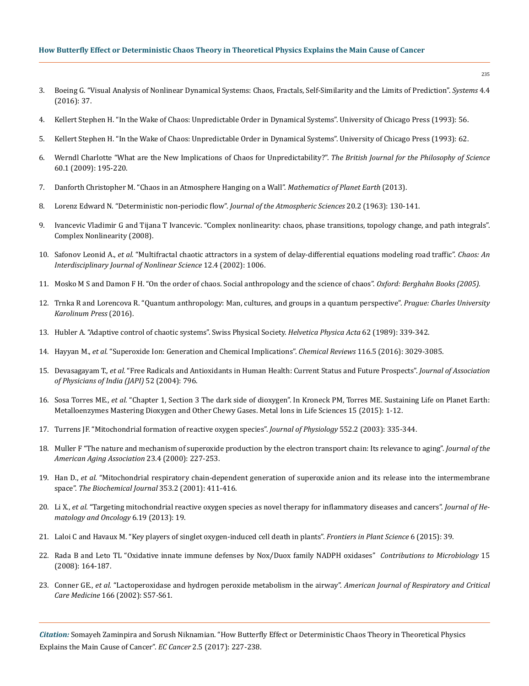## **How Butterfly Effect or Deterministic Chaos Theory in Theoretical Physics Explains the Main Cause of Cancer**

- 3. [Boeing G. "Visual Analysis of Nonlinear Dynamical Systems: Chaos, Fractals, Self-Similarity and the Limits of Prediction".](http://www.mdpi.com/2079-8954/4/4/37/htm) *Systems* 4.4 [\(2016\): 37.](http://www.mdpi.com/2079-8954/4/4/37/htm)
- 4. Kellert Stephen H. "In the Wake of Chaos: Unpredictable Order in Dynamical Systems". University of Chicago Press (1993): 56.
- 5. Kellert Stephen H. "In the Wake of Chaos: Unpredictable Order in Dynamical Systems". University of Chicago Press (1993): 62.
- 6. [Werndl Charlotte "What are the New Implications of Chaos for Unpredictability?".](https://arxiv.org/abs/1310.1576) *The British Journal for the Philosophy of Science* [60.1 \(2009\): 195-220.](https://arxiv.org/abs/1310.1576)
- 7. [Danforth Christopher M. "Chaos in an Atmosphere Hanging on a Wall".](http://mpe.dimacs.rutgers.edu/2013/03/17/chaos-in-an-atmosphere-hanging-on-a-wall/) *Mathematics of Planet Earth* (2013).
- 8. [Lorenz Edward N. "Deterministic non-periodic flow".](http://journals.ametsoc.org/doi/pdf/10.1175/1520-0469%281963%29020%3C0130%3ADNF%3E2.0.CO%3B2) *Journal of the Atmospheric Sciences* 20.2 (1963): 130-141.
- 9. [Ivancevic Vladimir G and Tijana T Ivancevic. "Complex nonlinearity: chaos, phase transitions, topology change, and path integrals".](http://www.springer.com/gp/book/9783540793564)  [Complex Nonlinearity \(2008\).](http://www.springer.com/gp/book/9783540793564)
- 10. Safonov Leonid A., *et al.* ["Multifractal chaotic attractors in a system of delay-differential equations modeling road traffic".](http://aip.scitation.org/doi/abs/10.1063/1.1507903) *Chaos: An [Interdisciplinary Journal of Nonlinear Science](http://aip.scitation.org/doi/abs/10.1063/1.1507903)* 12.4 (2002): 1006.
- 11. [Mosko M S and Damon F H. "On the order of chaos. Social anthropology and the science of chaos".](http://trove.nla.gov.au/work/9767449?q&versionId=11339148) *Oxford: Berghahn Books (2005).*
- 12. [Trnka R and Lorencova R. "Quantum anthropology: Man, cultures, and groups in a quantum perspective".](https://papers.ssrn.com/sol3/papers.cfm?abstract_id=2862246) *Prague: Charles University [Karolinum Press](https://papers.ssrn.com/sol3/papers.cfm?abstract_id=2862246)* (2016).
- 13. Hubler A. "Adaptive control of chaotic systems". Swiss Physical Society. *Helvetica Physica Acta* 62 (1989): 339-342.
- 14. Hayyan M., *et al.* ["Superoxide Ion: Generation and Chemical Implications".](http://pubs.acs.org/doi/abs/10.1021/acs.chemrev.5b00407) *Chemical Reviews* 116.5 (2016): 3029-3085.
- 15. Devasagayam T., *et al.* ["Free Radicals and Antioxidants in Human Health: Current Status and Future Prospects".](https://www.ncbi.nlm.nih.gov/pubmed/15909857) *Journal of Association [of Physicians of India \(JAPI\)](https://www.ncbi.nlm.nih.gov/pubmed/15909857)* 52 (2004): 796.
- 16. Sosa Torres ME., *et al.* "Chapter 1, Section 3 The dark side of dioxygen". In Kroneck PM, Torres ME. Sustaining Life on Planet Earth: Metalloenzymes Mastering Dioxygen and Other Chewy Gases. Metal Ions in Life Sciences 15 (2015): 1-12.
- 17. [Turrens JF. "Mitochondrial formation of reactive oxygen species".](https://www.ncbi.nlm.nih.gov/pubmed/14561818) *Journal of Physiology* 552.2 (2003): 335-344.
- 18. [Muller F "The nature and mechanism of superoxide production by the electron transport chain: Its relevance to aging".](https://www.ncbi.nlm.nih.gov/pmc/articles/PMC3455268/) *Journal of the [American Aging Association](https://www.ncbi.nlm.nih.gov/pmc/articles/PMC3455268/)* 23.4 (2000): 227-253.
- 19. Han D., *et al.* ["Mitochondrial respiratory chain-dependent generation of superoxide anion and its release into the intermembrane](https://www.ncbi.nlm.nih.gov/pmc/articles/PMC1221585/)  space". *[The Biochemical Journal](https://www.ncbi.nlm.nih.gov/pmc/articles/PMC1221585/)* 353.2 (2001): 411-416.
- 20. Li X., *et al.* ["Targeting mitochondrial reactive oxygen species as novel therapy for inflammatory diseases and cancers".](https://www.ncbi.nlm.nih.gov/pubmed/23442817) *Journal of He[matology and Oncology](https://www.ncbi.nlm.nih.gov/pubmed/23442817)* 6.19 (2013): 19.
- 21. [Laloi C and Havaux M. "Key players of singlet oxygen-induced cell death in plants".](https://www.ncbi.nlm.nih.gov/pubmed/25699067) *Frontiers in Plant Science* 6 (2015): 39.
- 22. [Rada B and Leto TL "Oxidative innate immune defenses by Nox/Duox family NADPH oxidases"](https://www.ncbi.nlm.nih.gov/pubmed/18511861) *Contributions to Microbiology* 15 [\(2008\): 164-187.](https://www.ncbi.nlm.nih.gov/pubmed/18511861)
- 23. Conner GE., *et al.* ["Lactoperoxidase and hydrogen peroxide metabolism in the airway".](https://www.ncbi.nlm.nih.gov/pubmed/12471090) *American Journal of Respiratory and Critical Care Medicine* [166 \(2002\): S57-S61.](https://www.ncbi.nlm.nih.gov/pubmed/12471090)

*Citation:* Somayeh Zaminpira and Sorush Niknamian. "How Butterfly Effect or Deterministic Chaos Theory in Theoretical Physics Explains the Main Cause of Cancer". *EC Cancer* 2.5 (2017): 227-238.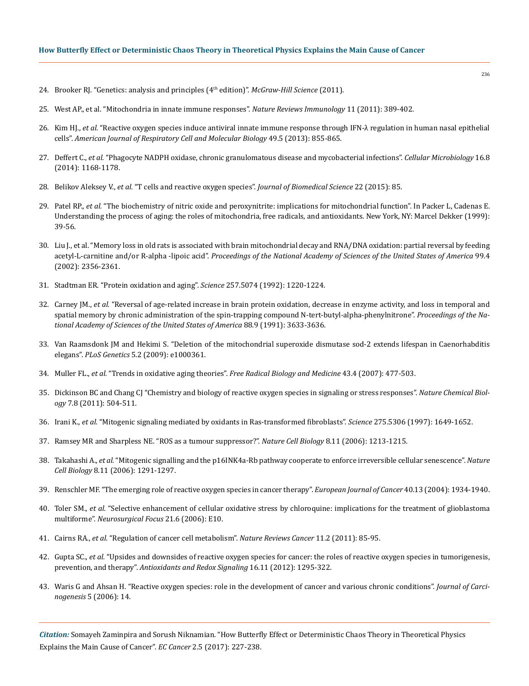- 24. Brooker RJ. "Genetics: analysis and principles (4th edition)". *McGraw-Hill Science* (2011).
- 25. [West AP., et al. "Mitochondria in innate immune responses".](https://www.nature.com/articles/nri2975) *Nature Reviews Immunology* 11 (2011): 389-402.
- 26. Kim HJ., *et al.* ["Reactive oxygen species induce antiviral innate immune response through IFN-λ regulation in human nasal epithelial](https://www.ncbi.nlm.nih.gov/pubmed/23786562)  cells". *[American Journal of Respiratory Cell and Molecular Biology](https://www.ncbi.nlm.nih.gov/pubmed/23786562)* 49.5 (2013): 855-865.
- 27. Deffert C., *et al.* ["Phagocyte NADPH oxidase, chronic granulomatous disease and mycobacterial infections".](https://www.ncbi.nlm.nih.gov/pubmed/24916152) *Cellular Microbiology* 16.8 [\(2014\): 1168-1178.](https://www.ncbi.nlm.nih.gov/pubmed/24916152)
- 28. Belikov Aleksey V., *et al.* ["T cells and reactive oxygen species".](https://www.ncbi.nlm.nih.gov/pmc/articles/PMC4608155/) *Journal of Biomedical Science* 22 (2015): 85.
- 29. Patel RP., *et al.* "The biochemistry of nitric oxide and peroxynitrite: implications for mitochondrial function". In Packer L, Cadenas E. Understanding the process of aging: the roles of mitochondria, free radicals, and antioxidants. New York, NY: Marcel Dekker (1999): 39-56.
- 30. [Liu J., et al. "Memory loss in old rats is associated with brain mitochondrial decay and RNA/DNA oxidation: partial reversal by feeding](http://www.pnas.org/content/99/4/2356.full.pdf) acetyl-L-carnitine and/or R-alpha -lipoic acid". *[Proceedings of the National Academy of Sciences of the United States of America](http://www.pnas.org/content/99/4/2356.full.pdf)* 99.4 [\(2002\): 2356-2361.](http://www.pnas.org/content/99/4/2356.full.pdf)
- 31. [Stadtman ER. "Protein oxidation and aging".](https://www.ncbi.nlm.nih.gov/pubmed/1355616) *Science* 257.5074 (1992): 1220-1224.
- 32. Carney JM., *et al.* ["Reversal of age-related increase in brain protein oxidation, decrease in enzyme activity, and loss in temporal and](https://www.ncbi.nlm.nih.gov/pubmed/1673789)  [spatial memory by chronic administration of the spin-trapping compound N-tert-butyl-alpha-phenylnitrone".](https://www.ncbi.nlm.nih.gov/pubmed/1673789) *Proceedings of the Na[tional Academy of Sciences of the United States of America](https://www.ncbi.nlm.nih.gov/pubmed/1673789)* 88.9 (1991): 3633-3636.
- 33. [Van Raamsdonk JM and Hekimi S. "Deletion of the mitochondrial superoxide dismutase sod-2 extends lifespan in Caenorhabditis](http://journals.plos.org/plosgenetics/article?id=10.1371/journal.pgen.1000361) elegans". *PLoS Genetics* [5.2 \(2009\): e1000361.](http://journals.plos.org/plosgenetics/article?id=10.1371/journal.pgen.1000361)
- 34. Muller FL., *et al.* "Trends in oxidative aging theories". *[Free Radical Biology and Medicine](https://www.ncbi.nlm.nih.gov/pubmed/17640558)* 43.4 (2007): 477-503.
- 35. [Dickinson BC and Chang CJ "Chemistry and biology of reactive oxygen species in signaling or stress responses".](https://www.ncbi.nlm.nih.gov/pubmed/21769097) *Nature Chemical Biology* [7.8 \(2011\): 504-511.](https://www.ncbi.nlm.nih.gov/pubmed/21769097)
- 36. Irani K., *et al.* ["Mitogenic signaling mediated by oxidants in Ras-transformed fibroblasts".](https://www.ncbi.nlm.nih.gov/pubmed/9054359) *Science* 275.5306 (1997): 1649-1652.
- 37. [Ramsey MR and Sharpless NE. "ROS as a tumour suppressor?".](https://www.nature.com/articles/ncb1106-1213) *Nature Cell Biology* 8.11 (2006): 1213-1215.
- 38. Takahashi A., *et al.* ["Mitogenic signalling and the p16INK4a-Rb pathway cooperate to enforce irreversible cellular senescence".](https://www.ncbi.nlm.nih.gov/pubmed/17028578) *Nature Cell Biology* [8.11 \(2006\): 1291-1297.](https://www.ncbi.nlm.nih.gov/pubmed/17028578)
- 39. [Renschler MF. "The emerging role of reactive oxygen species in cancer therapy".](https://www.ncbi.nlm.nih.gov/pubmed/15315800) *European Journal of Cancer* 40.13 (2004): 1934-1940.
- 40. Toler SM., *et al.* ["Selective enhancement of cellular oxidative stress by chloroquine: implications for the treatment of glioblastoma](https://www.ncbi.nlm.nih.gov/pubmed/17341043) multiforme". *[Neurosurgical Focus](https://www.ncbi.nlm.nih.gov/pubmed/17341043)* 21.6 (2006): E10.
- 41. Cairns RA., *et al.* ["Regulation of cancer cell metabolism".](https://www.ncbi.nlm.nih.gov/pubmed/21258394) *Nature Reviews Cancer* 11.2 (2011): 85-95.
- 42. Gupta SC., *et al.* ["Upsides and downsides of reactive oxygen species for cancer: the roles of reactive oxygen species in tumorigenesis,](https://www.ncbi.nlm.nih.gov/pubmed/22117137) prevention, and therapy". *[Antioxidants and Redox Signaling](https://www.ncbi.nlm.nih.gov/pubmed/22117137)* 16.11 (2012): 1295-322.
- 43. [Waris G and Ahsan H. "Reactive oxygen species: role in the development of cancer and various chronic conditions".](https://www.ncbi.nlm.nih.gov/pmc/articles/PMC1479806/) *Journal of Carcinogenesis* [5 \(2006\): 14.](https://www.ncbi.nlm.nih.gov/pmc/articles/PMC1479806/)

*Citation:* Somayeh Zaminpira and Sorush Niknamian. "How Butterfly Effect or Deterministic Chaos Theory in Theoretical Physics Explains the Main Cause of Cancer". *EC Cancer* 2.5 (2017): 227-238.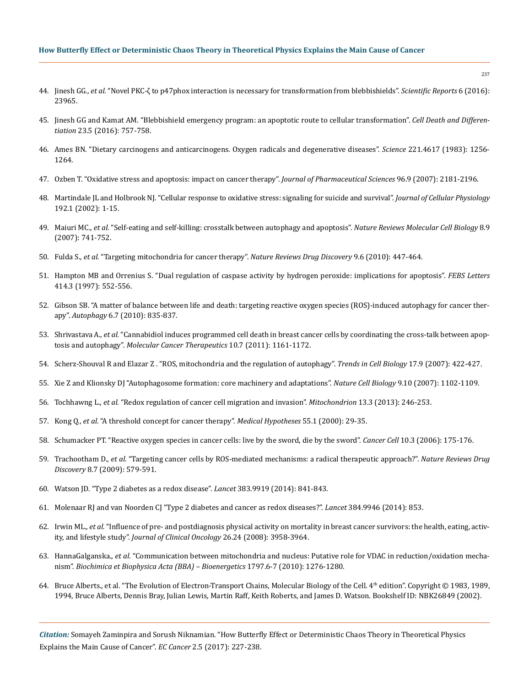## **How Butterfly Effect or Deterministic Chaos Theory in Theoretical Physics Explains the Main Cause of Cancer**

- 44. Jinesh GG., *et al.* ["Novel PKC-ζ to p47phox interaction is necessary for transformation from blebbishields".](https://www.nature.com/articles/srep23965) *Scientific Reports* 6 (2016): [23965.](https://www.nature.com/articles/srep23965)
- 45. [Jinesh GG and Kamat AM. "Blebbishield emergency program: an apoptotic route to cellular transformation".](https://www.ncbi.nlm.nih.gov/pmc/articles/PMC4832111/) *Cell Death and Differentiation* [23.5 \(2016\): 757-758.](https://www.ncbi.nlm.nih.gov/pmc/articles/PMC4832111/)
- 46. [Ames BN. "Dietary carcinogens and anticarcinogens. Oxygen radicals and degenerative diseases".](https://www.ncbi.nlm.nih.gov/pubmed/6351251) *Science* 221.4617 (1983): 1256- [1264.](https://www.ncbi.nlm.nih.gov/pubmed/6351251)
- 47. [Ozben T. "Oxidative stress and apoptosis: impact on cancer therapy".](https://www.ncbi.nlm.nih.gov/pubmed/17593552) *Journal of Pharmaceutical Sciences* 96.9 (2007): 2181-2196.
- 48. [Martindale JL and Holbrook NJ. "Cellular response to oxidative stress: signaling for suicide and survival".](https://www.ncbi.nlm.nih.gov/pubmed/12115731) *Journal of Cellular Physiology* [192.1 \(2002\): 1-15.](https://www.ncbi.nlm.nih.gov/pubmed/12115731)
- 49. Maiuri MC., *et al.* ["Self-eating and self-killing: crosstalk between autophagy and apoptosis".](https://www.ncbi.nlm.nih.gov/pubmed/17717517) *Nature Reviews Molecular Cell Biology* 8.9 [\(2007\): 741-752.](https://www.ncbi.nlm.nih.gov/pubmed/17717517)
- 50. Fulda S., *et al.* ["Targeting mitochondria for cancer therapy".](https://www.nature.com/articles/nrd3137) *Nature Reviews Drug Discovery* 9.6 (2010): 447-464.
- 51. [Hampton MB and Orrenius S. "Dual regulation of caspase activity by hydrogen peroxide: implications for apoptosis".](https://www.ncbi.nlm.nih.gov/pubmed/9323034) *FEBS Letters* [414.3 \(1997\): 552-556.](https://www.ncbi.nlm.nih.gov/pubmed/9323034)
- 52. [Gibson SB. "A matter of balance between life and death: targeting reactive oxygen species \(ROS\)-induced autophagy for cancer ther](https://www.ncbi.nlm.nih.gov/pubmed/20818163)apy". *Autophagy* [6.7 \(2010\): 835-837.](https://www.ncbi.nlm.nih.gov/pubmed/20818163)
- 53. Shrivastava A., *et al.* ["Cannabidiol induces programmed cell death in breast cancer cells by coordinating the cross-talk between apop](https://www.ncbi.nlm.nih.gov/pubmed/21566064)tosis and autophagy". *[Molecular Cancer Therapeutics](https://www.ncbi.nlm.nih.gov/pubmed/21566064)* 10.7 (2011): 1161-1172.
- 54. [Scherz-Shouval R and Elazar Z . "ROS, mitochondria and the regulation of autophagy".](https://www.ncbi.nlm.nih.gov/pubmed/17804237) *Trends in Cell Biology* 17.9 (2007): 422-427.
- 55. [Xie Z and Klionsky DJ "Autophagosome formation: core machinery and adaptations".](https://www.ncbi.nlm.nih.gov/pubmed/17909521) *Nature Cell Biology* 9.10 (2007): 1102-1109.
- 56. Tochhawng L., *et al.* ["Redox regulation of cancer cell migration and invasion".](https://www.ncbi.nlm.nih.gov/pubmed/22960576) *Mitochondrion* 13.3 (2013): 246-253.
- 57. Kong Q., *et al.* ["A threshold concept for cancer therapy".](https://www.ncbi.nlm.nih.gov/pubmed/11021322) *Medical Hypotheses* 55.1 (2000): 29-35.
- 58. [Schumacker PT. "Reactive oxygen species in cancer cells: live by the sword, die by the sword".](https://www.ncbi.nlm.nih.gov/pubmed/16959608) *Cancer Cell* 10.3 (2006): 175-176.
- 59. Trachootham D., *et al.* ["Targeting cancer cells by ROS-mediated mechanisms: a radical therapeutic approach?".](https://www.nature.com/articles/nrd2803) *Nature Reviews Drug Discovery* [8.7 \(2009\): 579-591.](https://www.nature.com/articles/nrd2803)
- 60. [Watson JD. "Type 2 diabetes as a redox disease".](https://www.ncbi.nlm.nih.gov/pubmed/24581668) *Lancet* 383.9919 (2014): 841-843.
- 61. [Molenaar RJ and van Noorden CJ "Type 2 diabetes and cancer as redox diseases?".](http://www.thelancet.com/journals/lancet/article/PIIS0140-6736(14)61485-9/abstract) *Lancet* 384.9946 (2014): 853.
- 62. Irwin ML., *et al.* ["Influence of pre- and postdiagnosis physical activity on mortality in breast cancer survivors: the health, eating, activ](https://www.ncbi.nlm.nih.gov/pubmed/18711185)ity, and lifestyle study". *[Journal of Clinical Oncology](https://www.ncbi.nlm.nih.gov/pubmed/18711185)* 26.24 (2008): 3958-3964.
- 63. HannaGalganska., *et al.* ["Communication between mitochondria and nucleus: Putative role for VDAC in reduction/oxidation mecha](http://www.sciencedirect.com/science/article/pii/S0005272810000502?via%3Dihub)nism". *[Biochimica et Biophysica Acta \(BBA\) – Bioenergetics](http://www.sciencedirect.com/science/article/pii/S0005272810000502?via%3Dihub)* 1797.6-7 (2010): 1276-1280.
- 64. [Bruce Alberts., et al. "The Evolution of Electron-Transport Chains, Molecular Biology of the Cell. 4](https://www.ncbi.nlm.nih.gov/books/NBK26849/)<sup>th</sup> edition". Copyright © 1983, 1989, [1994, Bruce Alberts, Dennis Bray, Julian Lewis, Martin Raff, Keith Roberts, and James D. Watson. Bookshelf ID: NBK26849 \(2002\).](https://www.ncbi.nlm.nih.gov/books/NBK26849/)

*Citation:* Somayeh Zaminpira and Sorush Niknamian. "How Butterfly Effect or Deterministic Chaos Theory in Theoretical Physics Explains the Main Cause of Cancer". *EC Cancer* 2.5 (2017): 227-238.